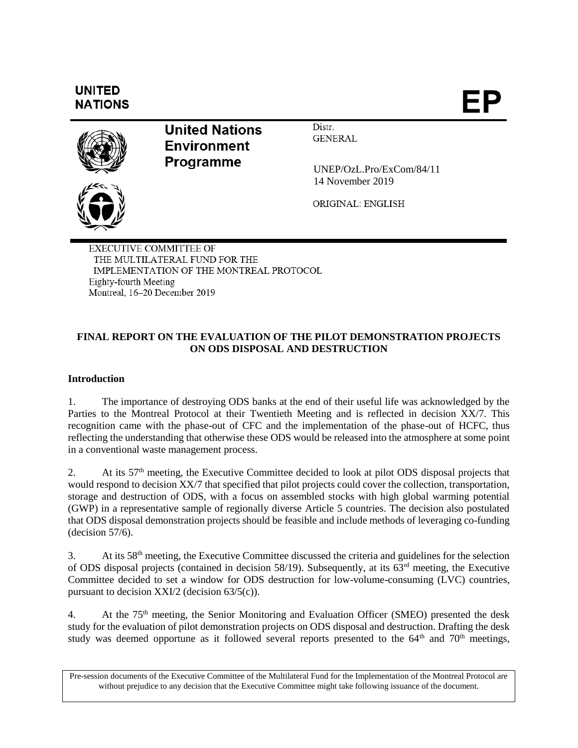

EXECUTIVE COMMITTEE OF THE MULTILATERAL FUND FOR THE IMPLEMENTATION OF THE MONTREAL PROTOCOL Eighty-fourth Meeting Montreal, 16-20 December 2019

# **FINAL REPORT ON THE EVALUATION OF THE PILOT DEMONSTRATION PROJECTS ON ODS DISPOSAL AND DESTRUCTION**

# **Introduction**

1. The importance of destroying ODS banks at the end of their useful life was acknowledged by the Parties to the Montreal Protocol at their Twentieth Meeting and is reflected in decision XX/7. This recognition came with the phase-out of CFC and the implementation of the phase-out of HCFC, thus reflecting the understanding that otherwise these ODS would be released into the atmosphere at some point in a conventional waste management process.

2. At its  $57<sup>th</sup>$  meeting, the Executive Committee decided to look at pilot ODS disposal projects that would respond to decision XX/7 that specified that pilot projects could cover the collection, transportation, storage and destruction of ODS, with a focus on assembled stocks with high global warming potential (GWP) in a representative sample of regionally diverse Article 5 countries. The decision also postulated that ODS disposal demonstration projects should be feasible and include methods of leveraging co-funding (decision 57/6).

3. At its 58th meeting, the Executive Committee discussed the criteria and guidelines for the selection of ODS disposal projects (contained in decision 58/19). Subsequently, at its 63rd meeting, the Executive Committee decided to set a window for ODS destruction for low-volume-consuming (LVC) countries, pursuant to decision XXI/2 (decision 63/5(c)).

4. At the  $75<sup>th</sup>$  meeting, the Senior Monitoring and Evaluation Officer (SMEO) presented the desk study for the evaluation of pilot demonstration projects on ODS disposal and destruction. Drafting the desk study was deemed opportune as it followed several reports presented to the  $64<sup>th</sup>$  and  $70<sup>th</sup>$  meetings,

Pre-session documents of the Executive Committee of the Multilateral Fund for the Implementation of the Montreal Protocol are without prejudice to any decision that the Executive Committee might take following issuance of the document.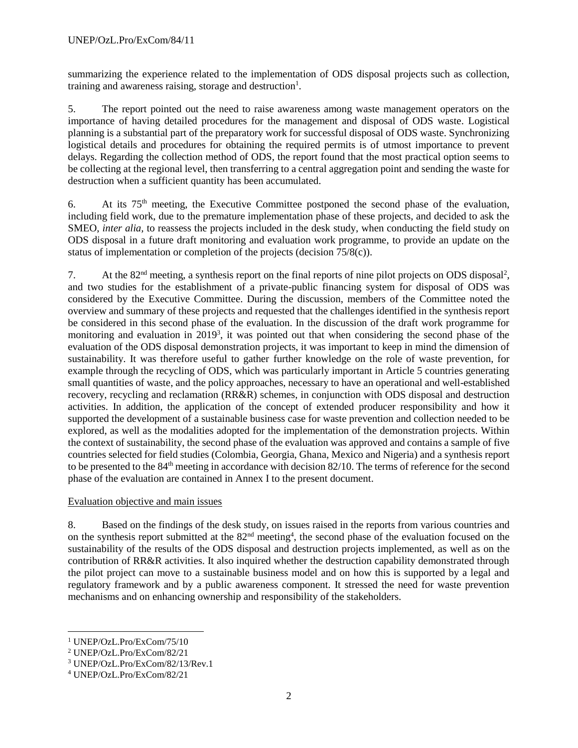summarizing the experience related to the implementation of ODS disposal projects such as collection, training and awareness raising, storage and destruction $<sup>1</sup>$ .</sup>

5. The report pointed out the need to raise awareness among waste management operators on the importance of having detailed procedures for the management and disposal of ODS waste. Logistical planning is a substantial part of the preparatory work for successful disposal of ODS waste. Synchronizing logistical details and procedures for obtaining the required permits is of utmost importance to prevent delays. Regarding the collection method of ODS, the report found that the most practical option seems to be collecting at the regional level, then transferring to a central aggregation point and sending the waste for destruction when a sufficient quantity has been accumulated.

6. At its  $75<sup>th</sup>$  meeting, the Executive Committee postponed the second phase of the evaluation, including field work, due to the premature implementation phase of these projects, and decided to ask the SMEO, *inter alia,* to reassess the projects included in the desk study, when conducting the field study on ODS disposal in a future draft monitoring and evaluation work programme, to provide an update on the status of implementation or completion of the projects (decision 75/8(c)).

7. At the  $82<sup>nd</sup>$  meeting, a synthesis report on the final reports of nine pilot projects on ODS disposal<sup>2</sup>, and two studies for the establishment of a private-public financing system for disposal of ODS was considered by the Executive Committee. During the discussion, members of the Committee noted the overview and summary of these projects and requested that the challenges identified in the synthesis report be considered in this second phase of the evaluation. In the discussion of the draft work programme for monitoring and evaluation in 2019<sup>3</sup>, it was pointed out that when considering the second phase of the evaluation of the ODS disposal demonstration projects, it was important to keep in mind the dimension of sustainability. It was therefore useful to gather further knowledge on the role of waste prevention, for example through the recycling of ODS, which was particularly important in Article 5 countries generating small quantities of waste, and the policy approaches, necessary to have an operational and well-established recovery, recycling and reclamation (RR&R) schemes, in conjunction with ODS disposal and destruction activities. In addition, the application of the concept of extended producer responsibility and how it supported the development of a sustainable business case for waste prevention and collection needed to be explored, as well as the modalities adopted for the implementation of the demonstration projects. Within the context of sustainability, the second phase of the evaluation was approved and contains a sample of five countries selected for field studies (Colombia, Georgia, Ghana, Mexico and Nigeria) and a synthesis report to be presented to the 84<sup>th</sup> meeting in accordance with decision 82/10. The terms of reference for the second phase of the evaluation are contained in Annex I to the present document.

# Evaluation objective and main issues

8. Based on the findings of the desk study, on issues raised in the reports from various countries and on the synthesis report submitted at the 82<sup>nd</sup> meeting<sup>4</sup>, the second phase of the evaluation focused on the sustainability of the results of the ODS disposal and destruction projects implemented, as well as on the contribution of RR&R activities. It also inquired whether the destruction capability demonstrated through the pilot project can move to a sustainable business model and on how this is supported by a legal and regulatory framework and by a public awareness component. It stressed the need for waste prevention mechanisms and on enhancing ownership and responsibility of the stakeholders.

 $\overline{a}$ 

<sup>1</sup> UNEP/OzL.Pro/ExCom/75/10

<sup>2</sup> UNEP/OzL.Pro/ExCom/82/21

<sup>3</sup> UNEP/OzL.Pro/ExCom/82/13/Rev.1

<sup>4</sup> UNEP/OzL.Pro/ExCom/82/21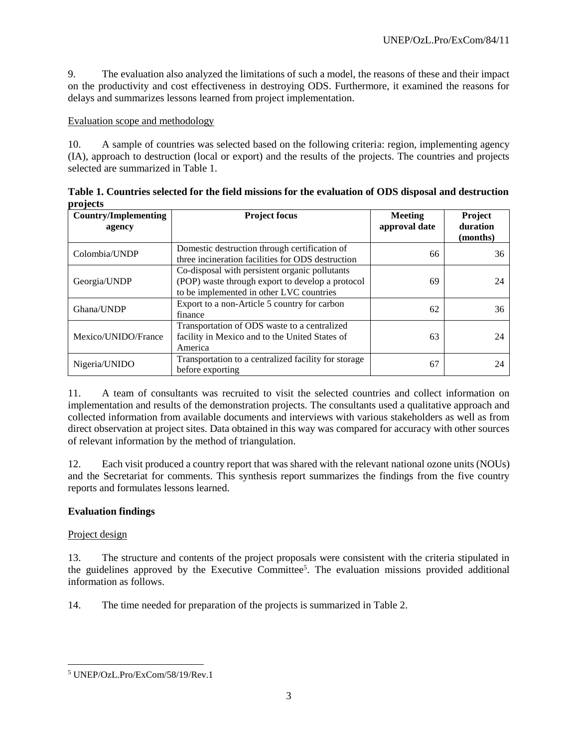9. The evaluation also analyzed the limitations of such a model, the reasons of these and their impact on the productivity and cost effectiveness in destroying ODS. Furthermore, it examined the reasons for delays and summarizes lessons learned from project implementation.

#### Evaluation scope and methodology

10. A sample of countries was selected based on the following criteria: region, implementing agency (IA), approach to destruction (local or export) and the results of the projects. The countries and projects selected are summarized in Table 1.

| PIVICES                                                                                                                          |                                                                                                                                                |                          |                                        |
|----------------------------------------------------------------------------------------------------------------------------------|------------------------------------------------------------------------------------------------------------------------------------------------|--------------------------|----------------------------------------|
| <b>Country/Implementing</b><br>agency                                                                                            | <b>Project focus</b>                                                                                                                           | Meeting<br>approval date | <b>Project</b><br>duration<br>(months) |
| Colombia/UNDP                                                                                                                    | Domestic destruction through certification of<br>three incineration facilities for ODS destruction                                             | 66                       | 36                                     |
| Georgia/UNDP                                                                                                                     | Co-disposal with persistent organic pollutants<br>(POP) waste through export to develop a protocol<br>to be implemented in other LVC countries | 69                       | 24                                     |
| Ghana/UNDP                                                                                                                       | Export to a non-Article 5 country for carbon<br>finance                                                                                        | 62                       | 36                                     |
| Transportation of ODS waste to a centralized<br>facility in Mexico and to the United States of<br>Mexico/UNIDO/France<br>America |                                                                                                                                                | 63                       | 24                                     |
| Nigeria/UNIDO                                                                                                                    | Transportation to a centralized facility for storage<br>before exporting                                                                       | 67                       | 24                                     |

**Table 1. Countries selected for the field missions for the evaluation of ODS disposal and destruction projects**

11. A team of consultants was recruited to visit the selected countries and collect information on implementation and results of the demonstration projects. The consultants used a qualitative approach and collected information from available documents and interviews with various stakeholders as well as from direct observation at project sites. Data obtained in this way was compared for accuracy with other sources of relevant information by the method of triangulation.

12. Each visit produced a country report that was shared with the relevant national ozone units (NOUs) and the Secretariat for comments. This synthesis report summarizes the findings from the five country reports and formulates lessons learned.

# **Evaluation findings**

# Project design

13. The structure and contents of the project proposals were consistent with the criteria stipulated in the guidelines approved by the Executive Committee<sup>5</sup>. The evaluation missions provided additional information as follows.

14. The time needed for preparation of the projects is summarized in Table 2.

 $\overline{a}$ <sup>5</sup> UNEP/OzL.Pro/ExCom/58/19/Rev.1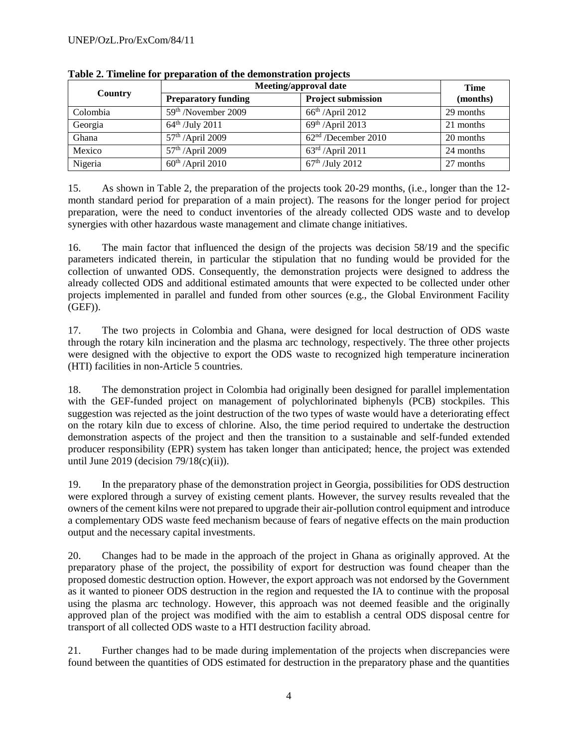| <b>Country</b> | <b>Meeting/approval date</b> | Time                            |           |
|----------------|------------------------------|---------------------------------|-----------|
|                | <b>Preparatory funding</b>   | <b>Project submission</b>       | (months)  |
| Colombia       | 59th /November 2009          | $66th$ /April 2012              | 29 months |
| Georgia        | $64^{\text{th}}$ /July 2011  | $69th$ /April 2013              | 21 months |
| Ghana          | 57 <sup>th</sup> /April 2009 | 62 <sup>nd</sup> /December 2010 | 20 months |
| Mexico         | 57 <sup>th</sup> /April 2009 | $63^{\text{rd}}$ /April 2011    | 24 months |
| Nigeria        | $60th$ /April 2010           | $67^{\text{th}}$ /July 2012     | 27 months |

**Table 2. Timeline for preparation of the demonstration projects**

15. As shown in Table 2, the preparation of the projects took 20-29 months, (i.e., longer than the 12 month standard period for preparation of a main project). The reasons for the longer period for project preparation, were the need to conduct inventories of the already collected ODS waste and to develop synergies with other hazardous waste management and climate change initiatives.

16. The main factor that influenced the design of the projects was decision 58/19 and the specific parameters indicated therein, in particular the stipulation that no funding would be provided for the collection of unwanted ODS. Consequently, the demonstration projects were designed to address the already collected ODS and additional estimated amounts that were expected to be collected under other projects implemented in parallel and funded from other sources (e.g., the Global Environment Facility (GEF)).

17. The two projects in Colombia and Ghana, were designed for local destruction of ODS waste through the rotary kiln incineration and the plasma arc technology, respectively. The three other projects were designed with the objective to export the ODS waste to recognized high temperature incineration (HTI) facilities in non-Article 5 countries.

18. The demonstration project in Colombia had originally been designed for parallel implementation with the GEF-funded project on management of polychlorinated biphenyls (PCB) stockpiles. This suggestion was rejected as the joint destruction of the two types of waste would have a deteriorating effect on the rotary kiln due to excess of chlorine. Also, the time period required to undertake the destruction demonstration aspects of the project and then the transition to a sustainable and self-funded extended producer responsibility (EPR) system has taken longer than anticipated; hence, the project was extended until June 2019 (decision  $79/18(c)(ii)$ ).

19. In the preparatory phase of the demonstration project in Georgia, possibilities for ODS destruction were explored through a survey of existing cement plants. However, the survey results revealed that the owners of the cement kilns were not prepared to upgrade their air-pollution control equipment and introduce a complementary ODS waste feed mechanism because of fears of negative effects on the main production output and the necessary capital investments.

20. Changes had to be made in the approach of the project in Ghana as originally approved. At the preparatory phase of the project, the possibility of export for destruction was found cheaper than the proposed domestic destruction option. However, the export approach was not endorsed by the Government as it wanted to pioneer ODS destruction in the region and requested the IA to continue with the proposal using the plasma arc technology. However, this approach was not deemed feasible and the originally approved plan of the project was modified with the aim to establish a central ODS disposal centre for transport of all collected ODS waste to a HTI destruction facility abroad.

21. Further changes had to be made during implementation of the projects when discrepancies were found between the quantities of ODS estimated for destruction in the preparatory phase and the quantities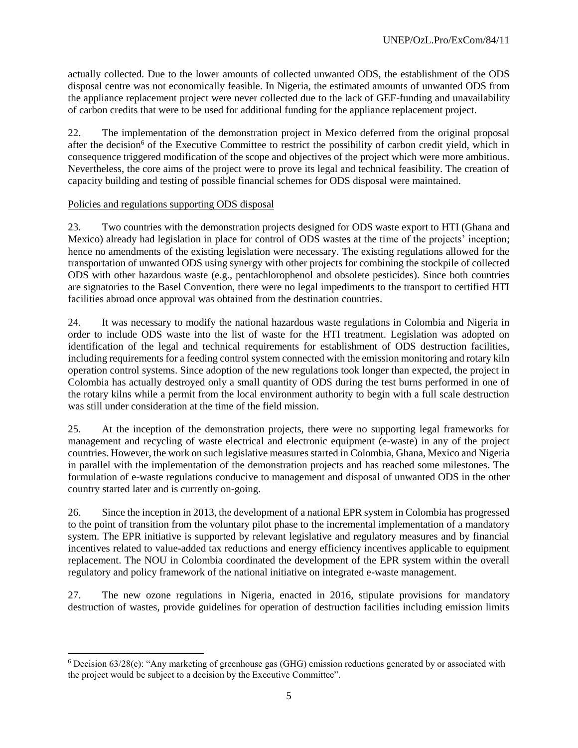actually collected. Due to the lower amounts of collected unwanted ODS, the establishment of the ODS disposal centre was not economically feasible. In Nigeria, the estimated amounts of unwanted ODS from the appliance replacement project were never collected due to the lack of GEF-funding and unavailability of carbon credits that were to be used for additional funding for the appliance replacement project.

22. The implementation of the demonstration project in Mexico deferred from the original proposal after the decision<sup>6</sup> of the Executive Committee to restrict the possibility of carbon credit yield, which in consequence triggered modification of the scope and objectives of the project which were more ambitious. Nevertheless, the core aims of the project were to prove its legal and technical feasibility. The creation of capacity building and testing of possible financial schemes for ODS disposal were maintained.

### Policies and regulations supporting ODS disposal

l

23. Two countries with the demonstration projects designed for ODS waste export to HTI (Ghana and Mexico) already had legislation in place for control of ODS wastes at the time of the projects' inception; hence no amendments of the existing legislation were necessary. The existing regulations allowed for the transportation of unwanted ODS using synergy with other projects for combining the stockpile of collected ODS with other hazardous waste (e.g., pentachlorophenol and obsolete pesticides). Since both countries are signatories to the Basel Convention, there were no legal impediments to the transport to certified HTI facilities abroad once approval was obtained from the destination countries.

24. It was necessary to modify the national hazardous waste regulations in Colombia and Nigeria in order to include ODS waste into the list of waste for the HTI treatment. Legislation was adopted on identification of the legal and technical requirements for establishment of ODS destruction facilities, including requirements for a feeding control system connected with the emission monitoring and rotary kiln operation control systems. Since adoption of the new regulations took longer than expected, the project in Colombia has actually destroyed only a small quantity of ODS during the test burns performed in one of the rotary kilns while a permit from the local environment authority to begin with a full scale destruction was still under consideration at the time of the field mission.

25. At the inception of the demonstration projects, there were no supporting legal frameworks for management and recycling of waste electrical and electronic equipment (e-waste) in any of the project countries. However, the work on such legislative measures started in Colombia, Ghana, Mexico and Nigeria in parallel with the implementation of the demonstration projects and has reached some milestones. The formulation of e-waste regulations conducive to management and disposal of unwanted ODS in the other country started later and is currently on-going.

26. Since the inception in 2013, the development of a national EPR system in Colombia has progressed to the point of transition from the voluntary pilot phase to the incremental implementation of a mandatory system. The EPR initiative is supported by relevant legislative and regulatory measures and by financial incentives related to value-added tax reductions and energy efficiency incentives applicable to equipment replacement. The NOU in Colombia coordinated the development of the EPR system within the overall regulatory and policy framework of the national initiative on integrated e-waste management.

27. The new ozone regulations in Nigeria, enacted in 2016, stipulate provisions for mandatory destruction of wastes, provide guidelines for operation of destruction facilities including emission limits

 $6$  Decision 63/28(c): "Any marketing of greenhouse gas (GHG) emission reductions generated by or associated with the project would be subject to a decision by the Executive Committee".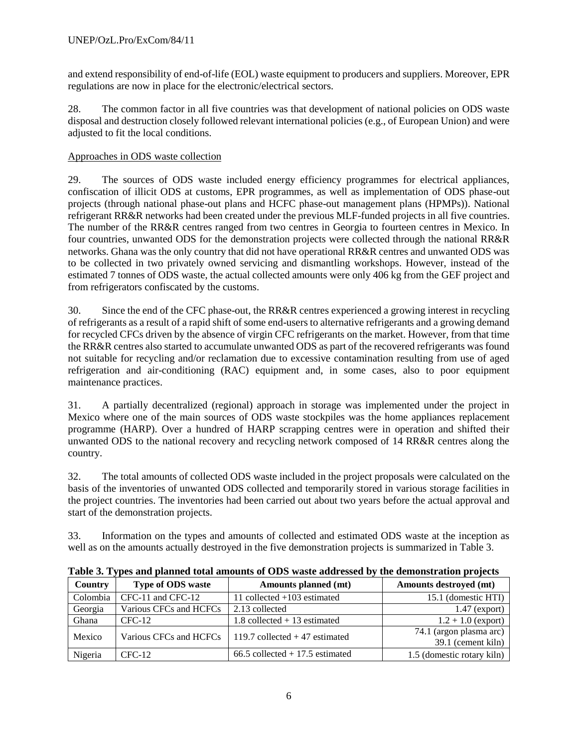and extend responsibility of end-of-life (EOL) waste equipment to producers and suppliers. Moreover, EPR regulations are now in place for the electronic/electrical sectors.

28. The common factor in all five countries was that development of national policies on ODS waste disposal and destruction closely followed relevant international policies (e.g., of European Union) and were adjusted to fit the local conditions.

# Approaches in ODS waste collection

29. The sources of ODS waste included energy efficiency programmes for electrical appliances, confiscation of illicit ODS at customs, EPR programmes, as well as implementation of ODS phase-out projects (through national phase-out plans and HCFC phase-out management plans (HPMPs)). National refrigerant RR&R networks had been created under the previous MLF-funded projects in all five countries. The number of the RR&R centres ranged from two centres in Georgia to fourteen centres in Mexico. In four countries, unwanted ODS for the demonstration projects were collected through the national RR&R networks. Ghana was the only country that did not have operational RR&R centres and unwanted ODS was to be collected in two privately owned servicing and dismantling workshops. However, instead of the estimated 7 tonnes of ODS waste, the actual collected amounts were only 406 kg from the GEF project and from refrigerators confiscated by the customs.

30. Since the end of the CFC phase-out, the RR&R centres experienced a growing interest in recycling of refrigerants as a result of a rapid shift of some end-users to alternative refrigerants and a growing demand for recycled CFCs driven by the absence of virgin CFC refrigerants on the market. However, from that time the RR&R centres also started to accumulate unwanted ODS as part of the recovered refrigerants was found not suitable for recycling and/or reclamation due to excessive contamination resulting from use of aged refrigeration and air-conditioning (RAC) equipment and, in some cases, also to poor equipment maintenance practices.

31. A partially decentralized (regional) approach in storage was implemented under the project in Mexico where one of the main sources of ODS waste stockpiles was the home appliances replacement programme (HARP). Over a hundred of HARP scrapping centres were in operation and shifted their unwanted ODS to the national recovery and recycling network composed of 14 RR&R centres along the country.

32. The total amounts of collected ODS waste included in the project proposals were calculated on the basis of the inventories of unwanted ODS collected and temporarily stored in various storage facilities in the project countries. The inventories had been carried out about two years before the actual approval and start of the demonstration projects.

33. Information on the types and amounts of collected and estimated ODS waste at the inception as well as on the amounts actually destroyed in the five demonstration projects is summarized in Table 3.

| Country  | <b>Type of ODS waste</b> | Amounts planned (mt)               | Amounts destroyed (mt)                        |
|----------|--------------------------|------------------------------------|-----------------------------------------------|
| Colombia | CFC-11 and CFC-12        | 11 collected $+103$ estimated      | 15.1 (domestic HTI)                           |
| Georgia  | Various CFCs and HCFCs   | 2.13 collected                     | $1.47$ (export)                               |
| Ghana    | $CFC-12$                 | 1.8 collected $+13$ estimated      | $1.2 + 1.0$ (export)                          |
| Mexico   | Various CFCs and HCFCs   | 119.7 collected $+47$ estimated    | 74.1 (argon plasma arc)<br>39.1 (cement kiln) |
| Nigeria  | $CFC-12$                 | $66.5$ collected $+17.5$ estimated | 1.5 (domestic rotary kiln)                    |

**Table 3. Types and planned total amounts of ODS waste addressed by the demonstration projects**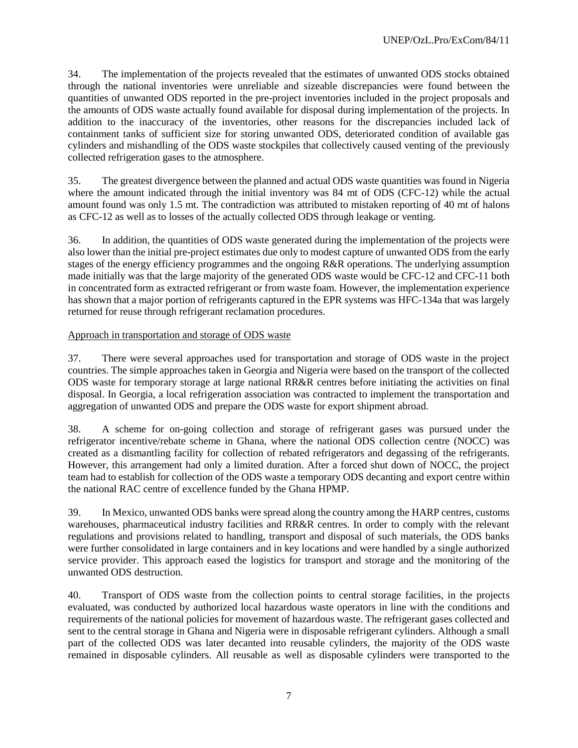34. The implementation of the projects revealed that the estimates of unwanted ODS stocks obtained through the national inventories were unreliable and sizeable discrepancies were found between the quantities of unwanted ODS reported in the pre-project inventories included in the project proposals and the amounts of ODS waste actually found available for disposal during implementation of the projects. In addition to the inaccuracy of the inventories, other reasons for the discrepancies included lack of containment tanks of sufficient size for storing unwanted ODS, deteriorated condition of available gas cylinders and mishandling of the ODS waste stockpiles that collectively caused venting of the previously collected refrigeration gases to the atmosphere.

35. The greatest divergence between the planned and actual ODS waste quantities was found in Nigeria where the amount indicated through the initial inventory was 84 mt of ODS (CFC-12) while the actual amount found was only 1.5 mt. The contradiction was attributed to mistaken reporting of 40 mt of halons as CFC-12 as well as to losses of the actually collected ODS through leakage or venting.

36. In addition, the quantities of ODS waste generated during the implementation of the projects were also lower than the initial pre-project estimates due only to modest capture of unwanted ODS from the early stages of the energy efficiency programmes and the ongoing R&R operations. The underlying assumption made initially was that the large majority of the generated ODS waste would be CFC-12 and CFC-11 both in concentrated form as extracted refrigerant or from waste foam. However, the implementation experience has shown that a major portion of refrigerants captured in the EPR systems was HFC-134a that was largely returned for reuse through refrigerant reclamation procedures.

### Approach in transportation and storage of ODS waste

37. There were several approaches used for transportation and storage of ODS waste in the project countries. The simple approaches taken in Georgia and Nigeria were based on the transport of the collected ODS waste for temporary storage at large national RR&R centres before initiating the activities on final disposal. In Georgia, a local refrigeration association was contracted to implement the transportation and aggregation of unwanted ODS and prepare the ODS waste for export shipment abroad.

38. A scheme for on-going collection and storage of refrigerant gases was pursued under the refrigerator incentive/rebate scheme in Ghana, where the national ODS collection centre (NOCC) was created as a dismantling facility for collection of rebated refrigerators and degassing of the refrigerants. However, this arrangement had only a limited duration. After a forced shut down of NOCC, the project team had to establish for collection of the ODS waste a temporary ODS decanting and export centre within the national RAC centre of excellence funded by the Ghana HPMP.

39. In Mexico, unwanted ODS banks were spread along the country among the HARP centres, customs warehouses, pharmaceutical industry facilities and RR&R centres. In order to comply with the relevant regulations and provisions related to handling, transport and disposal of such materials, the ODS banks were further consolidated in large containers and in key locations and were handled by a single authorized service provider. This approach eased the logistics for transport and storage and the monitoring of the unwanted ODS destruction.

40. Transport of ODS waste from the collection points to central storage facilities, in the projects evaluated, was conducted by authorized local hazardous waste operators in line with the conditions and requirements of the national policies for movement of hazardous waste. The refrigerant gases collected and sent to the central storage in Ghana and Nigeria were in disposable refrigerant cylinders. Although a small part of the collected ODS was later decanted into reusable cylinders, the majority of the ODS waste remained in disposable cylinders. All reusable as well as disposable cylinders were transported to the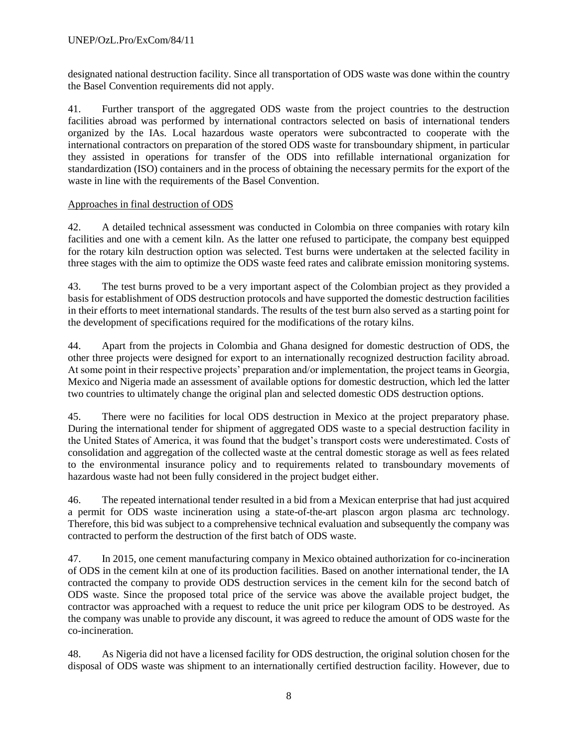designated national destruction facility. Since all transportation of ODS waste was done within the country the Basel Convention requirements did not apply.

41. Further transport of the aggregated ODS waste from the project countries to the destruction facilities abroad was performed by international contractors selected on basis of international tenders organized by the IAs. Local hazardous waste operators were subcontracted to cooperate with the international contractors on preparation of the stored ODS waste for transboundary shipment, in particular they assisted in operations for transfer of the ODS into refillable international organization for standardization (ISO) containers and in the process of obtaining the necessary permits for the export of the waste in line with the requirements of the Basel Convention.

### Approaches in final destruction of ODS

42. A detailed technical assessment was conducted in Colombia on three companies with rotary kiln facilities and one with a cement kiln. As the latter one refused to participate, the company best equipped for the rotary kiln destruction option was selected. Test burns were undertaken at the selected facility in three stages with the aim to optimize the ODS waste feed rates and calibrate emission monitoring systems.

43. The test burns proved to be a very important aspect of the Colombian project as they provided a basis for establishment of ODS destruction protocols and have supported the domestic destruction facilities in their efforts to meet international standards. The results of the test burn also served as a starting point for the development of specifications required for the modifications of the rotary kilns.

44. Apart from the projects in Colombia and Ghana designed for domestic destruction of ODS, the other three projects were designed for export to an internationally recognized destruction facility abroad. At some point in their respective projects' preparation and/or implementation, the project teams in Georgia, Mexico and Nigeria made an assessment of available options for domestic destruction, which led the latter two countries to ultimately change the original plan and selected domestic ODS destruction options.

45. There were no facilities for local ODS destruction in Mexico at the project preparatory phase. During the international tender for shipment of aggregated ODS waste to a special destruction facility in the United States of America, it was found that the budget's transport costs were underestimated. Costs of consolidation and aggregation of the collected waste at the central domestic storage as well as fees related to the environmental insurance policy and to requirements related to transboundary movements of hazardous waste had not been fully considered in the project budget either.

46. The repeated international tender resulted in a bid from a Mexican enterprise that had just acquired a permit for ODS waste incineration using a state-of-the-art plascon argon plasma arc technology. Therefore, this bid was subject to a comprehensive technical evaluation and subsequently the company was contracted to perform the destruction of the first batch of ODS waste.

47. In 2015, one cement manufacturing company in Mexico obtained authorization for co-incineration of ODS in the cement kiln at one of its production facilities. Based on another international tender, the IA contracted the company to provide ODS destruction services in the cement kiln for the second batch of ODS waste. Since the proposed total price of the service was above the available project budget, the contractor was approached with a request to reduce the unit price per kilogram ODS to be destroyed. As the company was unable to provide any discount, it was agreed to reduce the amount of ODS waste for the co-incineration.

48. As Nigeria did not have a licensed facility for ODS destruction, the original solution chosen for the disposal of ODS waste was shipment to an internationally certified destruction facility. However, due to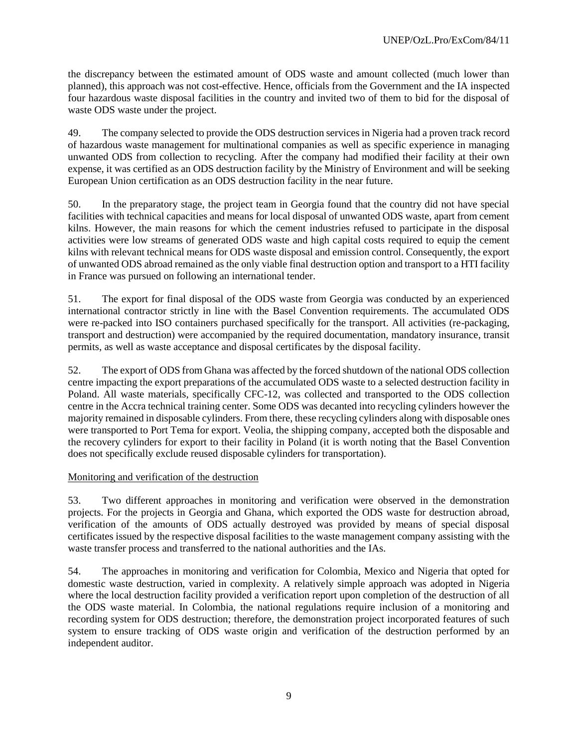the discrepancy between the estimated amount of ODS waste and amount collected (much lower than planned), this approach was not cost-effective. Hence, officials from the Government and the IA inspected four hazardous waste disposal facilities in the country and invited two of them to bid for the disposal of waste ODS waste under the project.

49. The company selected to provide the ODS destruction services in Nigeria had a proven track record of hazardous waste management for multinational companies as well as specific experience in managing unwanted ODS from collection to recycling. After the company had modified their facility at their own expense, it was certified as an ODS destruction facility by the Ministry of Environment and will be seeking European Union certification as an ODS destruction facility in the near future.

50. In the preparatory stage, the project team in Georgia found that the country did not have special facilities with technical capacities and means for local disposal of unwanted ODS waste, apart from cement kilns. However, the main reasons for which the cement industries refused to participate in the disposal activities were low streams of generated ODS waste and high capital costs required to equip the cement kilns with relevant technical means for ODS waste disposal and emission control. Consequently, the export of unwanted ODS abroad remained as the only viable final destruction option and transport to a HTI facility in France was pursued on following an international tender.

51. The export for final disposal of the ODS waste from Georgia was conducted by an experienced international contractor strictly in line with the Basel Convention requirements. The accumulated ODS were re-packed into ISO containers purchased specifically for the transport. All activities (re-packaging, transport and destruction) were accompanied by the required documentation, mandatory insurance, transit permits, as well as waste acceptance and disposal certificates by the disposal facility.

52. The export of ODS from Ghana was affected by the forced shutdown of the national ODS collection centre impacting the export preparations of the accumulated ODS waste to a selected destruction facility in Poland. All waste materials, specifically CFC-12, was collected and transported to the ODS collection centre in the Accra technical training center. Some ODS was decanted into recycling cylinders however the majority remained in disposable cylinders. From there, these recycling cylinders along with disposable ones were transported to Port Tema for export. Veolia, the shipping company, accepted both the disposable and the recovery cylinders for export to their facility in Poland (it is worth noting that the Basel Convention does not specifically exclude reused disposable cylinders for transportation).

# Monitoring and verification of the destruction

53. Two different approaches in monitoring and verification were observed in the demonstration projects. For the projects in Georgia and Ghana, which exported the ODS waste for destruction abroad, verification of the amounts of ODS actually destroyed was provided by means of special disposal certificates issued by the respective disposal facilities to the waste management company assisting with the waste transfer process and transferred to the national authorities and the IAs.

54. The approaches in monitoring and verification for Colombia, Mexico and Nigeria that opted for domestic waste destruction, varied in complexity. A relatively simple approach was adopted in Nigeria where the local destruction facility provided a verification report upon completion of the destruction of all the ODS waste material. In Colombia, the national regulations require inclusion of a monitoring and recording system for ODS destruction; therefore, the demonstration project incorporated features of such system to ensure tracking of ODS waste origin and verification of the destruction performed by an independent auditor.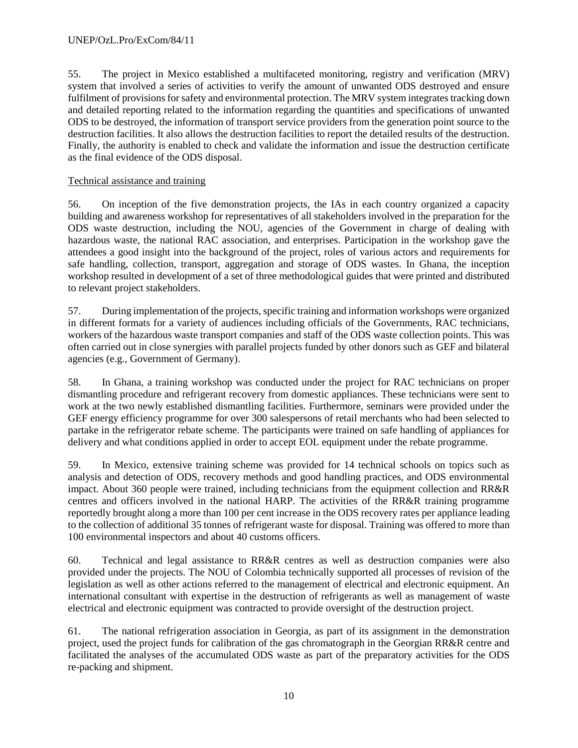55. The project in Mexico established a multifaceted monitoring, registry and verification (MRV) system that involved a series of activities to verify the amount of unwanted ODS destroyed and ensure fulfilment of provisions for safety and environmental protection. The MRV system integrates tracking down and detailed reporting related to the information regarding the quantities and specifications of unwanted ODS to be destroyed, the information of transport service providers from the generation point source to the destruction facilities. It also allows the destruction facilities to report the detailed results of the destruction. Finally, the authority is enabled to check and validate the information and issue the destruction certificate as the final evidence of the ODS disposal.

# Technical assistance and training

56. On inception of the five demonstration projects, the IAs in each country organized a capacity building and awareness workshop for representatives of all stakeholders involved in the preparation for the ODS waste destruction, including the NOU, agencies of the Government in charge of dealing with hazardous waste, the national RAC association, and enterprises. Participation in the workshop gave the attendees a good insight into the background of the project, roles of various actors and requirements for safe handling, collection, transport, aggregation and storage of ODS wastes. In Ghana, the inception workshop resulted in development of a set of three methodological guides that were printed and distributed to relevant project stakeholders.

57. During implementation of the projects, specific training and information workshops were organized in different formats for a variety of audiences including officials of the Governments, RAC technicians, workers of the hazardous waste transport companies and staff of the ODS waste collection points. This was often carried out in close synergies with parallel projects funded by other donors such as GEF and bilateral agencies (e.g., Government of Germany).

58. In Ghana, a training workshop was conducted under the project for RAC technicians on proper dismantling procedure and refrigerant recovery from domestic appliances. These technicians were sent to work at the two newly established dismantling facilities. Furthermore, seminars were provided under the GEF energy efficiency programme for over 300 salespersons of retail merchants who had been selected to partake in the refrigerator rebate scheme. The participants were trained on safe handling of appliances for delivery and what conditions applied in order to accept EOL equipment under the rebate programme.

59. In Mexico, extensive training scheme was provided for 14 technical schools on topics such as analysis and detection of ODS, recovery methods and good handling practices, and ODS environmental impact. About 360 people were trained, including technicians from the equipment collection and RR&R centres and officers involved in the national HARP. The activities of the RR&R training programme reportedly brought along a more than 100 per cent increase in the ODS recovery rates per appliance leading to the collection of additional 35 tonnes of refrigerant waste for disposal. Training was offered to more than 100 environmental inspectors and about 40 customs officers.

60. Technical and legal assistance to RR&R centres as well as destruction companies were also provided under the projects. The NOU of Colombia technically supported all processes of revision of the legislation as well as other actions referred to the management of electrical and electronic equipment. An international consultant with expertise in the destruction of refrigerants as well as management of waste electrical and electronic equipment was contracted to provide oversight of the destruction project.

61. The national refrigeration association in Georgia, as part of its assignment in the demonstration project, used the project funds for calibration of the gas chromatograph in the Georgian RR&R centre and facilitated the analyses of the accumulated ODS waste as part of the preparatory activities for the ODS re-packing and shipment.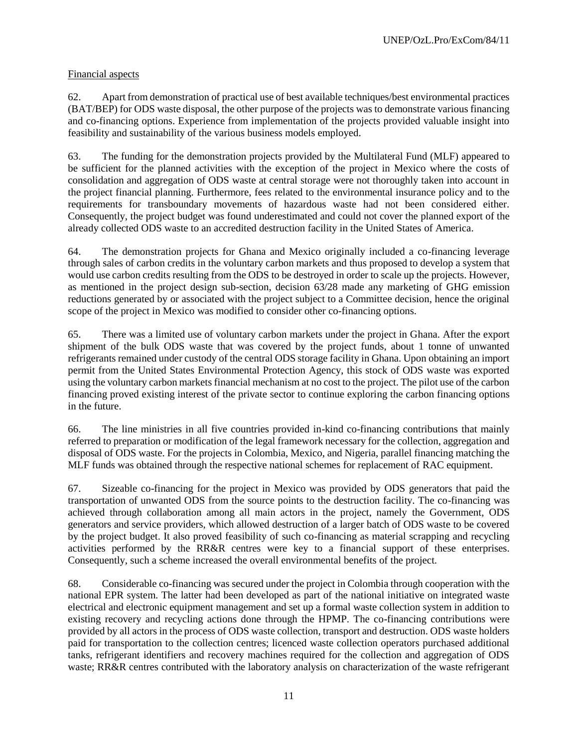# Financial aspects

62. Apart from demonstration of practical use of best available techniques/best environmental practices (BAT/BEP) for ODS waste disposal, the other purpose of the projects was to demonstrate various financing and co-financing options. Experience from implementation of the projects provided valuable insight into feasibility and sustainability of the various business models employed.

63. The funding for the demonstration projects provided by the Multilateral Fund (MLF) appeared to be sufficient for the planned activities with the exception of the project in Mexico where the costs of consolidation and aggregation of ODS waste at central storage were not thoroughly taken into account in the project financial planning. Furthermore, fees related to the environmental insurance policy and to the requirements for transboundary movements of hazardous waste had not been considered either. Consequently, the project budget was found underestimated and could not cover the planned export of the already collected ODS waste to an accredited destruction facility in the United States of America.

64. The demonstration projects for Ghana and Mexico originally included a co-financing leverage through sales of carbon credits in the voluntary carbon markets and thus proposed to develop a system that would use carbon credits resulting from the ODS to be destroyed in order to scale up the projects. However, as mentioned in the project design sub-section, decision 63/28 made any marketing of GHG emission reductions generated by or associated with the project subject to a Committee decision, hence the original scope of the project in Mexico was modified to consider other co-financing options.

65. There was a limited use of voluntary carbon markets under the project in Ghana. After the export shipment of the bulk ODS waste that was covered by the project funds, about 1 tonne of unwanted refrigerants remained under custody of the central ODS storage facility in Ghana. Upon obtaining an import permit from the United States Environmental Protection Agency, this stock of ODS waste was exported using the voluntary carbon markets financial mechanism at no cost to the project. The pilot use of the carbon financing proved existing interest of the private sector to continue exploring the carbon financing options in the future.

66. The line ministries in all five countries provided in-kind co-financing contributions that mainly referred to preparation or modification of the legal framework necessary for the collection, aggregation and disposal of ODS waste. For the projects in Colombia, Mexico, and Nigeria, parallel financing matching the MLF funds was obtained through the respective national schemes for replacement of RAC equipment.

67. Sizeable co-financing for the project in Mexico was provided by ODS generators that paid the transportation of unwanted ODS from the source points to the destruction facility. The co-financing was achieved through collaboration among all main actors in the project, namely the Government, ODS generators and service providers, which allowed destruction of a larger batch of ODS waste to be covered by the project budget. It also proved feasibility of such co-financing as material scrapping and recycling activities performed by the RR&R centres were key to a financial support of these enterprises. Consequently, such a scheme increased the overall environmental benefits of the project.

68. Considerable co-financing was secured under the project in Colombia through cooperation with the national EPR system. The latter had been developed as part of the national initiative on integrated waste electrical and electronic equipment management and set up a formal waste collection system in addition to existing recovery and recycling actions done through the HPMP. The co-financing contributions were provided by all actors in the process of ODS waste collection, transport and destruction. ODS waste holders paid for transportation to the collection centres; licenced waste collection operators purchased additional tanks, refrigerant identifiers and recovery machines required for the collection and aggregation of ODS waste; RR&R centres contributed with the laboratory analysis on characterization of the waste refrigerant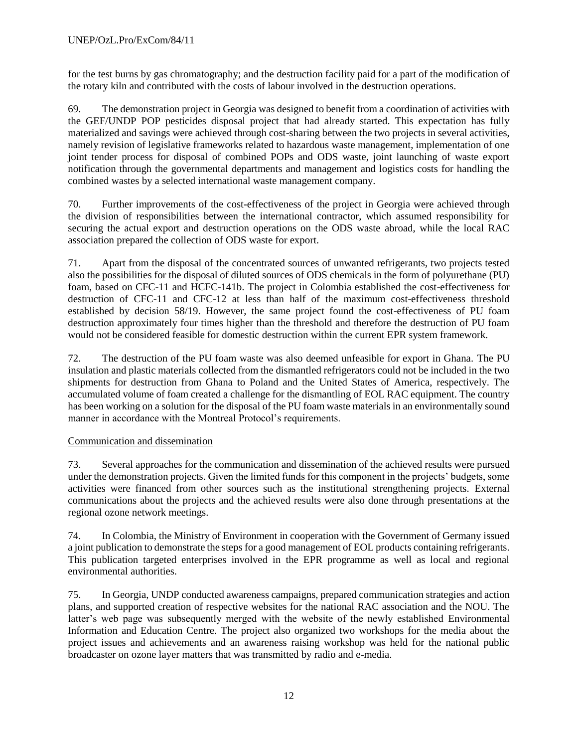for the test burns by gas chromatography; and the destruction facility paid for a part of the modification of the rotary kiln and contributed with the costs of labour involved in the destruction operations.

69. The demonstration project in Georgia was designed to benefit from a coordination of activities with the GEF/UNDP POP pesticides disposal project that had already started. This expectation has fully materialized and savings were achieved through cost-sharing between the two projects in several activities, namely revision of legislative frameworks related to hazardous waste management, implementation of one joint tender process for disposal of combined POPs and ODS waste, joint launching of waste export notification through the governmental departments and management and logistics costs for handling the combined wastes by a selected international waste management company.

70. Further improvements of the cost-effectiveness of the project in Georgia were achieved through the division of responsibilities between the international contractor, which assumed responsibility for securing the actual export and destruction operations on the ODS waste abroad, while the local RAC association prepared the collection of ODS waste for export.

71. Apart from the disposal of the concentrated sources of unwanted refrigerants, two projects tested also the possibilities for the disposal of diluted sources of ODS chemicals in the form of polyurethane (PU) foam, based on CFC-11 and HCFC-141b. The project in Colombia established the cost-effectiveness for destruction of CFC-11 and CFC-12 at less than half of the maximum cost-effectiveness threshold established by decision 58/19. However, the same project found the cost-effectiveness of PU foam destruction approximately four times higher than the threshold and therefore the destruction of PU foam would not be considered feasible for domestic destruction within the current EPR system framework.

72. The destruction of the PU foam waste was also deemed unfeasible for export in Ghana. The PU insulation and plastic materials collected from the dismantled refrigerators could not be included in the two shipments for destruction from Ghana to Poland and the United States of America, respectively. The accumulated volume of foam created a challenge for the dismantling of EOL RAC equipment. The country has been working on a solution for the disposal of the PU foam waste materials in an environmentally sound manner in accordance with the Montreal Protocol's requirements.

# Communication and dissemination

73. Several approaches for the communication and dissemination of the achieved results were pursued under the demonstration projects. Given the limited funds for this component in the projects' budgets, some activities were financed from other sources such as the institutional strengthening projects. External communications about the projects and the achieved results were also done through presentations at the regional ozone network meetings.

74. In Colombia, the Ministry of Environment in cooperation with the Government of Germany issued a joint publication to demonstrate the steps for a good management of EOL products containing refrigerants. This publication targeted enterprises involved in the EPR programme as well as local and regional environmental authorities.

75. In Georgia, UNDP conducted awareness campaigns, prepared communication strategies and action plans, and supported creation of respective websites for the national RAC association and the NOU. The latter's web page was subsequently merged with the website of the newly established Environmental Information and Education Centre. The project also organized two workshops for the media about the project issues and achievements and an awareness raising workshop was held for the national public broadcaster on ozone layer matters that was transmitted by radio and e-media.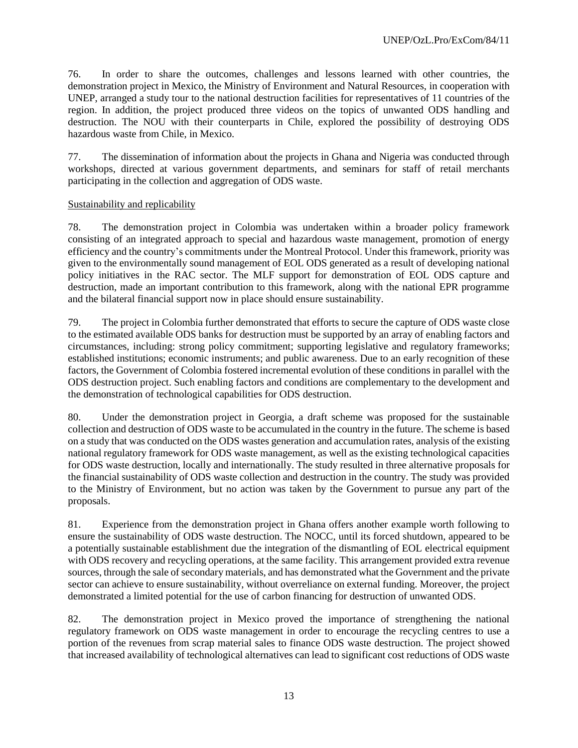76. In order to share the outcomes, challenges and lessons learned with other countries, the demonstration project in Mexico, the Ministry of Environment and Natural Resources, in cooperation with UNEP, arranged a study tour to the national destruction facilities for representatives of 11 countries of the region. In addition, the project produced three videos on the topics of unwanted ODS handling and destruction. The NOU with their counterparts in Chile, explored the possibility of destroying ODS hazardous waste from Chile, in Mexico.

77. The dissemination of information about the projects in Ghana and Nigeria was conducted through workshops, directed at various government departments, and seminars for staff of retail merchants participating in the collection and aggregation of ODS waste.

### Sustainability and replicability

78. The demonstration project in Colombia was undertaken within a broader policy framework consisting of an integrated approach to special and hazardous waste management, promotion of energy efficiency and the country's commitments under the Montreal Protocol. Under this framework, priority was given to the environmentally sound management of EOL ODS generated as a result of developing national policy initiatives in the RAC sector. The MLF support for demonstration of EOL ODS capture and destruction, made an important contribution to this framework, along with the national EPR programme and the bilateral financial support now in place should ensure sustainability.

79. The project in Colombia further demonstrated that efforts to secure the capture of ODS waste close to the estimated available ODS banks for destruction must be supported by an array of enabling factors and circumstances, including: strong policy commitment; supporting legislative and regulatory frameworks; established institutions; economic instruments; and public awareness. Due to an early recognition of these factors, the Government of Colombia fostered incremental evolution of these conditions in parallel with the ODS destruction project. Such enabling factors and conditions are complementary to the development and the demonstration of technological capabilities for ODS destruction.

80. Under the demonstration project in Georgia, a draft scheme was proposed for the sustainable collection and destruction of ODS waste to be accumulated in the country in the future. The scheme is based on a study that was conducted on the ODS wastes generation and accumulation rates, analysis of the existing national regulatory framework for ODS waste management, as well as the existing technological capacities for ODS waste destruction, locally and internationally. The study resulted in three alternative proposals for the financial sustainability of ODS waste collection and destruction in the country. The study was provided to the Ministry of Environment, but no action was taken by the Government to pursue any part of the proposals.

81. Experience from the demonstration project in Ghana offers another example worth following to ensure the sustainability of ODS waste destruction. The NOCC, until its forced shutdown, appeared to be a potentially sustainable establishment due the integration of the dismantling of EOL electrical equipment with ODS recovery and recycling operations, at the same facility. This arrangement provided extra revenue sources, through the sale of secondary materials, and has demonstrated what the Government and the private sector can achieve to ensure sustainability, without overreliance on external funding. Moreover, the project demonstrated a limited potential for the use of carbon financing for destruction of unwanted ODS.

82. The demonstration project in Mexico proved the importance of strengthening the national regulatory framework on ODS waste management in order to encourage the recycling centres to use a portion of the revenues from scrap material sales to finance ODS waste destruction. The project showed that increased availability of technological alternatives can lead to significant cost reductions of ODS waste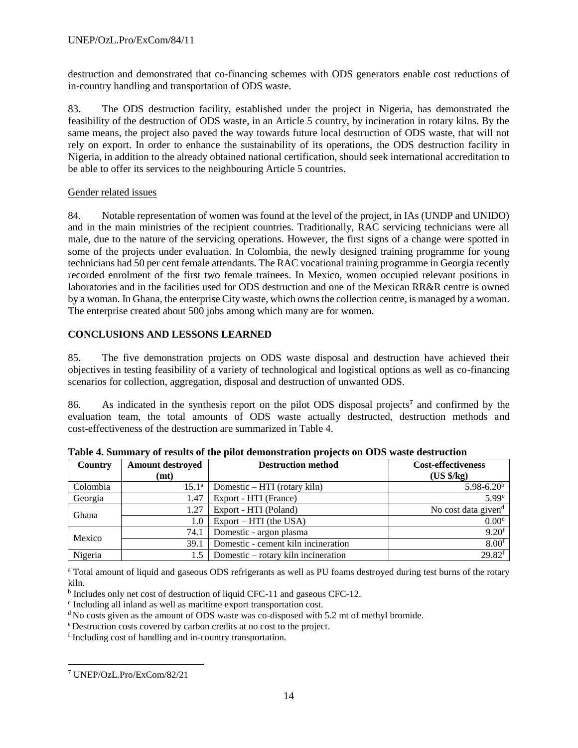destruction and demonstrated that co-financing schemes with ODS generators enable cost reductions of in-country handling and transportation of ODS waste.

83. The ODS destruction facility, established under the project in Nigeria, has demonstrated the feasibility of the destruction of ODS waste, in an Article 5 country, by incineration in rotary kilns. By the same means, the project also paved the way towards future local destruction of ODS waste, that will not rely on export. In order to enhance the sustainability of its operations, the ODS destruction facility in Nigeria, in addition to the already obtained national certification, should seek international accreditation to be able to offer its services to the neighbouring Article 5 countries.

# Gender related issues

84. Notable representation of women was found at the level of the project, in IAs (UNDP and UNIDO) and in the main ministries of the recipient countries. Traditionally, RAC servicing technicians were all male, due to the nature of the servicing operations. However, the first signs of a change were spotted in some of the projects under evaluation. In Colombia, the newly designed training programme for young technicians had 50 per cent female attendants. The RAC vocational training programme in Georgia recently recorded enrolment of the first two female trainees. In Mexico, women occupied relevant positions in laboratories and in the facilities used for ODS destruction and one of the Mexican RR&R centre is owned by a woman. In Ghana, the enterprise City waste, which owns the collection centre, is managed by a woman. The enterprise created about 500 jobs among which many are for women.

# **CONCLUSIONS AND LESSONS LEARNED**

85. The five demonstration projects on ODS waste disposal and destruction have achieved their objectives in testing feasibility of a variety of technological and logistical options as well as co-financing scenarios for collection, aggregation, disposal and destruction of unwanted ODS.

86. As indicated in the synthesis report on the pilot ODS disposal projects**<sup>7</sup>** and confirmed by the evaluation team, the total amounts of ODS waste actually destructed, destruction methods and cost-effectiveness of the destruction are summarized in Table 4.

| Country  | <b>Amount destroyed</b> | <b>Destruction method</b>           | <b>Cost-effectiveness</b>       |
|----------|-------------------------|-------------------------------------|---------------------------------|
|          | (mt)                    |                                     | $(US \frac{6}{5}kg)$            |
| Colombia | $15.1^{\rm a}$          | Domestic – HTI (rotary kiln)        | $5.98 - 6.20b$                  |
| Georgia  | 1.47                    | Export - HTI (France)               | 5.99 <sup>c</sup>               |
| Ghana    | 1.27                    | Export - HTI (Poland)               | No cost data given <sup>d</sup> |
|          | 1.0                     | $Export - HTI$ (the USA)            | 0.00 <sup>e</sup>               |
| Mexico   | 74.1                    | Domestic - argon plasma             | $9.20$ f                        |
|          | 39.1                    | Domestic - cement kiln incineration | 8.00 <sup>f</sup>               |
| Nigeria  | 1.5                     | Domestic – rotary kiln incineration | $29.82$ <sup>f</sup>            |

**Table 4. Summary of results of the pilot demonstration projects on ODS waste destruction**

<sup>a</sup> Total amount of liquid and gaseous ODS refrigerants as well as PU foams destroyed during test burns of the rotary kiln.

<sup>b</sup> Includes only net cost of destruction of liquid CFC-11 and gaseous CFC-12.

c Including all inland as well as maritime export transportation cost.

 $\rm^d$  No costs given as the amount of ODS waste was co-disposed with 5.2 mt of methyl bromide.

<sup>e</sup>Destruction costs covered by carbon credits at no cost to the project.

f Including cost of handling and in-country transportation.

 $\overline{a}$ <sup>7</sup> UNEP/OzL.Pro/ExCom/82/21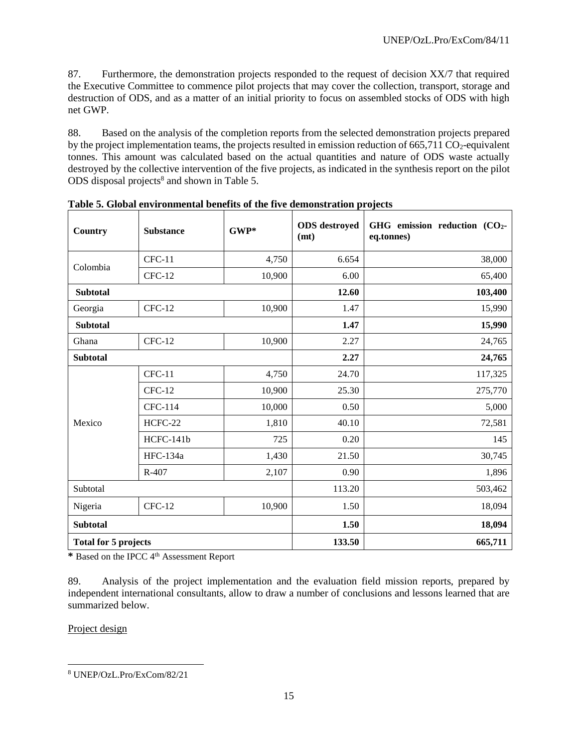87. Furthermore, the demonstration projects responded to the request of decision XX/7 that required the Executive Committee to commence pilot projects that may cover the collection, transport, storage and destruction of ODS, and as a matter of an initial priority to focus on assembled stocks of ODS with high net GWP.

88. Based on the analysis of the completion reports from the selected demonstration projects prepared by the project implementation teams, the projects resulted in emission reduction of  $665,711 \text{ CO}_2$ -equivalent tonnes. This amount was calculated based on the actual quantities and nature of ODS waste actually destroyed by the collective intervention of the five projects, as indicated in the synthesis report on the pilot ODS disposal projects<sup>8</sup> and shown in Table 5.

| Country                     | <b>Substance</b> | $GWP*$ | <b>ODS</b> destroyed<br>(mt) | GHG emission reduction (CO <sub>2</sub> -<br>eq.tonnes) |  |
|-----------------------------|------------------|--------|------------------------------|---------------------------------------------------------|--|
| Colombia                    | $CFC-11$         | 4,750  | 6.654                        | 38,000                                                  |  |
|                             | $CFC-12$         | 10,900 | 6.00                         | 65,400                                                  |  |
| <b>Subtotal</b>             |                  |        | 12.60                        | 103,400                                                 |  |
| Georgia                     | $CFC-12$         | 10,900 | 1.47                         | 15,990                                                  |  |
| <b>Subtotal</b>             |                  | 1.47   | 15,990                       |                                                         |  |
| Ghana                       | $CFC-12$         | 10,900 | 2.27                         | 24,765                                                  |  |
| <b>Subtotal</b>             |                  |        | 2.27                         | 24,765                                                  |  |
| Mexico                      | $CFC-11$         | 4,750  | 24.70                        | 117,325                                                 |  |
|                             | $CFC-12$         | 10,900 | 25.30                        | 275,770                                                 |  |
|                             | CFC-114          | 10,000 | 0.50                         | 5,000                                                   |  |
|                             | HCFC-22          | 1,810  | 40.10                        | 72,581                                                  |  |
|                             | HCFC-141b        | 725    | 0.20                         | 145                                                     |  |
|                             | HFC-134a         | 1,430  | 21.50                        | 30,745                                                  |  |
|                             | R-407            | 2,107  | 0.90                         | 1,896                                                   |  |
| Subtotal                    |                  | 113.20 | 503,462                      |                                                         |  |
| Nigeria                     | $CFC-12$         | 10,900 | 1.50                         | 18,094                                                  |  |
| <b>Subtotal</b>             |                  |        | 1.50                         | 18,094                                                  |  |
| <b>Total for 5 projects</b> |                  | 133.50 | 665,711                      |                                                         |  |

**Table 5. Global environmental benefits of the five demonstration projects**

**\*** Based on the IPCC 4th Assessment Report

89. Analysis of the project implementation and the evaluation field mission reports, prepared by independent international consultants, allow to draw a number of conclusions and lessons learned that are summarized below.

Project design

 $\overline{a}$ <sup>8</sup> UNEP/OzL.Pro/ExCom/82/21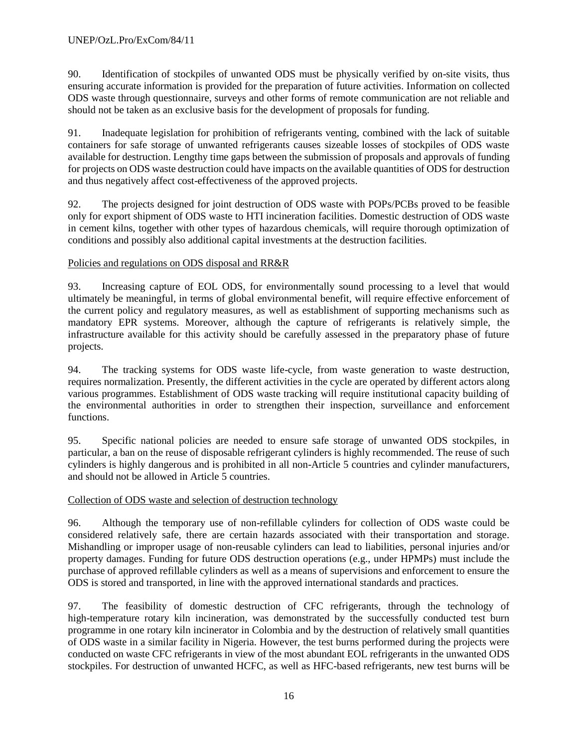90. Identification of stockpiles of unwanted ODS must be physically verified by on-site visits, thus ensuring accurate information is provided for the preparation of future activities. Information on collected ODS waste through questionnaire, surveys and other forms of remote communication are not reliable and should not be taken as an exclusive basis for the development of proposals for funding.

91. Inadequate legislation for prohibition of refrigerants venting, combined with the lack of suitable containers for safe storage of unwanted refrigerants causes sizeable losses of stockpiles of ODS waste available for destruction. Lengthy time gaps between the submission of proposals and approvals of funding for projects on ODS waste destruction could have impacts on the available quantities of ODS for destruction and thus negatively affect cost-effectiveness of the approved projects.

92. The projects designed for joint destruction of ODS waste with POPs/PCBs proved to be feasible only for export shipment of ODS waste to HTI incineration facilities. Domestic destruction of ODS waste in cement kilns, together with other types of hazardous chemicals, will require thorough optimization of conditions and possibly also additional capital investments at the destruction facilities.

Policies and regulations on ODS disposal and RR&R

93. Increasing capture of EOL ODS, for environmentally sound processing to a level that would ultimately be meaningful, in terms of global environmental benefit, will require effective enforcement of the current policy and regulatory measures, as well as establishment of supporting mechanisms such as mandatory EPR systems. Moreover, although the capture of refrigerants is relatively simple, the infrastructure available for this activity should be carefully assessed in the preparatory phase of future projects.

94. The tracking systems for ODS waste life-cycle, from waste generation to waste destruction, requires normalization. Presently, the different activities in the cycle are operated by different actors along various programmes. Establishment of ODS waste tracking will require institutional capacity building of the environmental authorities in order to strengthen their inspection, surveillance and enforcement functions.

95. Specific national policies are needed to ensure safe storage of unwanted ODS stockpiles, in particular, a ban on the reuse of disposable refrigerant cylinders is highly recommended. The reuse of such cylinders is highly dangerous and is prohibited in all non-Article 5 countries and cylinder manufacturers, and should not be allowed in Article 5 countries.

# Collection of ODS waste and selection of destruction technology

96. Although the temporary use of non-refillable cylinders for collection of ODS waste could be considered relatively safe, there are certain hazards associated with their transportation and storage. Mishandling or improper usage of non-reusable cylinders can lead to liabilities, personal injuries and/or property damages. Funding for future ODS destruction operations (e.g., under HPMPs) must include the purchase of approved refillable cylinders as well as a means of supervisions and enforcement to ensure the ODS is stored and transported, in line with the approved international standards and practices.

97. The feasibility of domestic destruction of CFC refrigerants, through the technology of high-temperature rotary kiln incineration, was demonstrated by the successfully conducted test burn programme in one rotary kiln incinerator in Colombia and by the destruction of relatively small quantities of ODS waste in a similar facility in Nigeria. However, the test burns performed during the projects were conducted on waste CFC refrigerants in view of the most abundant EOL refrigerants in the unwanted ODS stockpiles. For destruction of unwanted HCFC, as well as HFC-based refrigerants, new test burns will be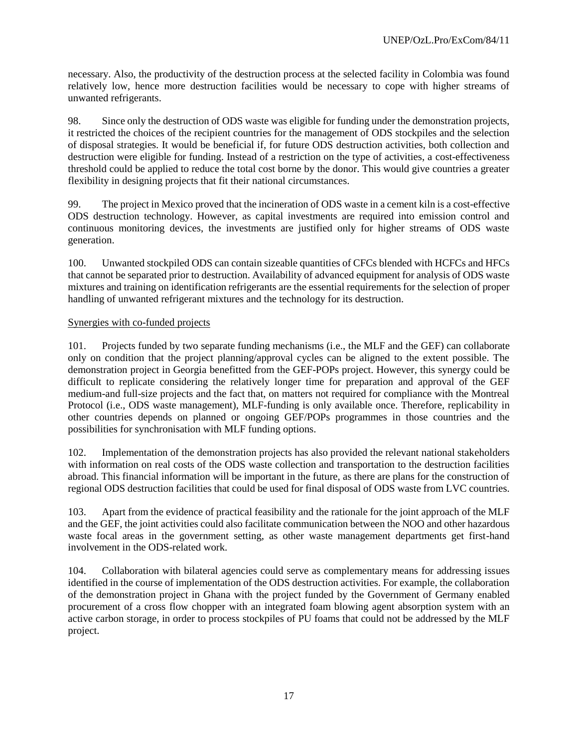necessary. Also, the productivity of the destruction process at the selected facility in Colombia was found relatively low, hence more destruction facilities would be necessary to cope with higher streams of unwanted refrigerants.

98. Since only the destruction of ODS waste was eligible for funding under the demonstration projects, it restricted the choices of the recipient countries for the management of ODS stockpiles and the selection of disposal strategies. It would be beneficial if, for future ODS destruction activities, both collection and destruction were eligible for funding. Instead of a restriction on the type of activities, a cost-effectiveness threshold could be applied to reduce the total cost borne by the donor. This would give countries a greater flexibility in designing projects that fit their national circumstances.

99. The project in Mexico proved that the incineration of ODS waste in a cement kiln is a cost-effective ODS destruction technology. However, as capital investments are required into emission control and continuous monitoring devices, the investments are justified only for higher streams of ODS waste generation.

100. Unwanted stockpiled ODS can contain sizeable quantities of CFCs blended with HCFCs and HFCs that cannot be separated prior to destruction. Availability of advanced equipment for analysis of ODS waste mixtures and training on identification refrigerants are the essential requirements for the selection of proper handling of unwanted refrigerant mixtures and the technology for its destruction.

### Synergies with co-funded projects

101. Projects funded by two separate funding mechanisms (i.e., the MLF and the GEF) can collaborate only on condition that the project planning/approval cycles can be aligned to the extent possible. The demonstration project in Georgia benefitted from the GEF-POPs project. However, this synergy could be difficult to replicate considering the relatively longer time for preparation and approval of the GEF medium-and full-size projects and the fact that, on matters not required for compliance with the Montreal Protocol (i.e., ODS waste management), MLF-funding is only available once. Therefore, replicability in other countries depends on planned or ongoing GEF/POPs programmes in those countries and the possibilities for synchronisation with MLF funding options.

102. Implementation of the demonstration projects has also provided the relevant national stakeholders with information on real costs of the ODS waste collection and transportation to the destruction facilities abroad. This financial information will be important in the future, as there are plans for the construction of regional ODS destruction facilities that could be used for final disposal of ODS waste from LVC countries.

103. Apart from the evidence of practical feasibility and the rationale for the joint approach of the MLF and the GEF, the joint activities could also facilitate communication between the NOO and other hazardous waste focal areas in the government setting, as other waste management departments get first-hand involvement in the ODS-related work.

104. Collaboration with bilateral agencies could serve as complementary means for addressing issues identified in the course of implementation of the ODS destruction activities. For example, the collaboration of the demonstration project in Ghana with the project funded by the Government of Germany enabled procurement of a cross flow chopper with an integrated foam blowing agent absorption system with an active carbon storage, in order to process stockpiles of PU foams that could not be addressed by the MLF project.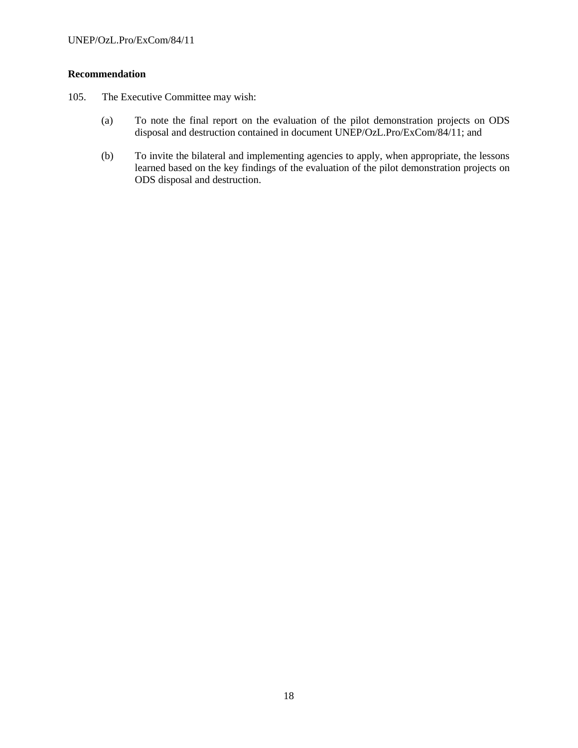### **Recommendation**

- 105. The Executive Committee may wish:
	- (a) To note the final report on the evaluation of the pilot demonstration projects on ODS disposal and destruction contained in document UNEP/OzL.Pro/ExCom/84/11; and
	- (b) To invite the bilateral and implementing agencies to apply, when appropriate, the lessons learned based on the key findings of the evaluation of the pilot demonstration projects on ODS disposal and destruction.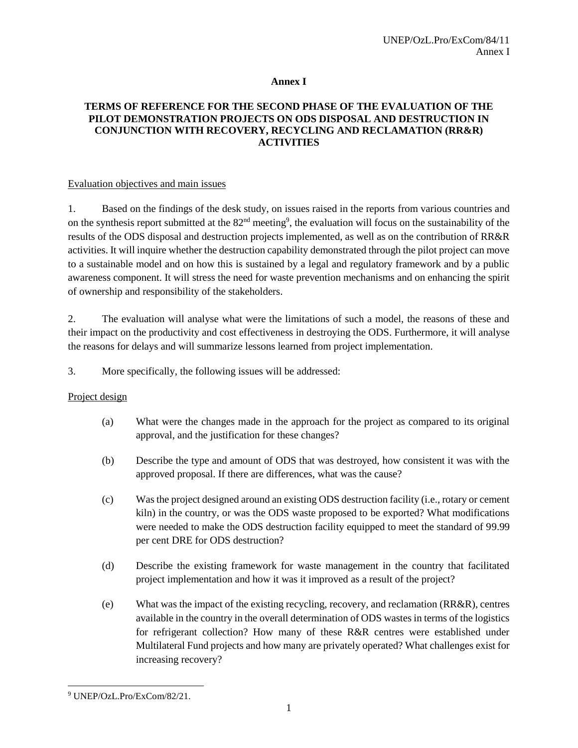### **Annex I**

### **TERMS OF REFERENCE FOR THE SECOND PHASE OF THE EVALUATION OF THE PILOT DEMONSTRATION PROJECTS ON ODS DISPOSAL AND DESTRUCTION IN CONJUNCTION WITH RECOVERY, RECYCLING AND RECLAMATION (RR&R) ACTIVITIES**

### Evaluation objectives and main issues

1. Based on the findings of the desk study, on issues raised in the reports from various countries and on the synthesis report submitted at the 82<sup>nd</sup> meeting<sup>9</sup>, the evaluation will focus on the sustainability of the results of the ODS disposal and destruction projects implemented, as well as on the contribution of RR&R activities. It will inquire whether the destruction capability demonstrated through the pilot project can move to a sustainable model and on how this is sustained by a legal and regulatory framework and by a public awareness component. It will stress the need for waste prevention mechanisms and on enhancing the spirit of ownership and responsibility of the stakeholders.

2. The evaluation will analyse what were the limitations of such a model, the reasons of these and their impact on the productivity and cost effectiveness in destroying the ODS. Furthermore, it will analyse the reasons for delays and will summarize lessons learned from project implementation.

3. More specifically, the following issues will be addressed:

# Project design

- (a) What were the changes made in the approach for the project as compared to its original approval, and the justification for these changes?
- (b) Describe the type and amount of ODS that was destroyed, how consistent it was with the approved proposal. If there are differences, what was the cause?
- (c) Was the project designed around an existing ODS destruction facility (i.e., rotary or cement kiln) in the country, or was the ODS waste proposed to be exported? What modifications were needed to make the ODS destruction facility equipped to meet the standard of 99.99 per cent DRE for ODS destruction?
- (d) Describe the existing framework for waste management in the country that facilitated project implementation and how it was it improved as a result of the project?
- (e) What was the impact of the existing recycling, recovery, and reclamation (RR&R), centres available in the country in the overall determination of ODS wastes in terms of the logistics for refrigerant collection? How many of these R&R centres were established under Multilateral Fund projects and how many are privately operated? What challenges exist for increasing recovery?

 $\overline{a}$ <sup>9</sup> UNEP/OzL.Pro/ExCom/82/21.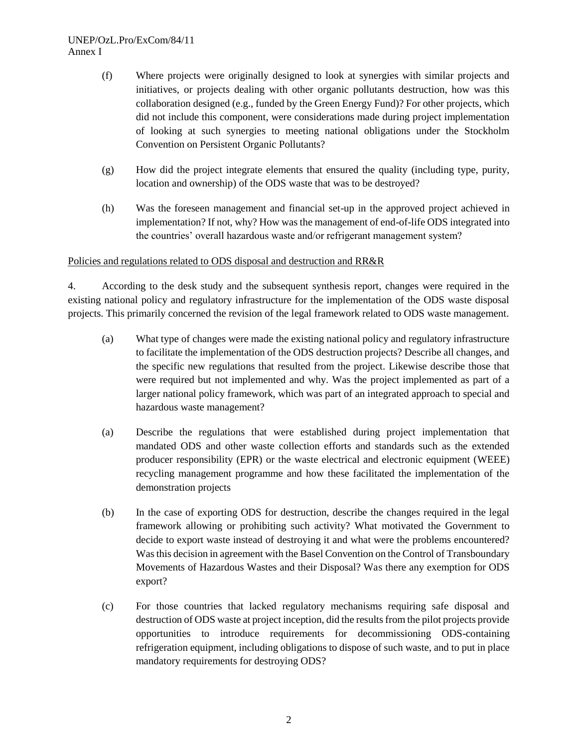- (f) Where projects were originally designed to look at synergies with similar projects and initiatives, or projects dealing with other organic pollutants destruction, how was this collaboration designed (e.g., funded by the Green Energy Fund)? For other projects, which did not include this component, were considerations made during project implementation of looking at such synergies to meeting national obligations under the Stockholm Convention on Persistent Organic Pollutants?
- (g) How did the project integrate elements that ensured the quality (including type, purity, location and ownership) of the ODS waste that was to be destroyed?
- (h) Was the foreseen management and financial set-up in the approved project achieved in implementation? If not, why? How was the management of end-of-life ODS integrated into the countries' overall hazardous waste and/or refrigerant management system?

### Policies and regulations related to ODS disposal and destruction and RR&R

4. According to the desk study and the subsequent synthesis report, changes were required in the existing national policy and regulatory infrastructure for the implementation of the ODS waste disposal projects. This primarily concerned the revision of the legal framework related to ODS waste management.

- (a) What type of changes were made the existing national policy and regulatory infrastructure to facilitate the implementation of the ODS destruction projects? Describe all changes, and the specific new regulations that resulted from the project. Likewise describe those that were required but not implemented and why. Was the project implemented as part of a larger national policy framework, which was part of an integrated approach to special and hazardous waste management?
- (a) Describe the regulations that were established during project implementation that mandated ODS and other waste collection efforts and standards such as the extended producer responsibility (EPR) or the waste electrical and electronic equipment (WEEE) recycling management programme and how these facilitated the implementation of the demonstration projects
- (b) In the case of exporting ODS for destruction, describe the changes required in the legal framework allowing or prohibiting such activity? What motivated the Government to decide to export waste instead of destroying it and what were the problems encountered? Was this decision in agreement with the Basel Convention on the Control of Transboundary Movements of Hazardous Wastes and their Disposal? Was there any exemption for ODS export?
- (c) For those countries that lacked regulatory mechanisms requiring safe disposal and destruction of ODS waste at project inception, did the results from the pilot projects provide opportunities to introduce requirements for decommissioning ODS-containing refrigeration equipment, including obligations to dispose of such waste, and to put in place mandatory requirements for destroying ODS?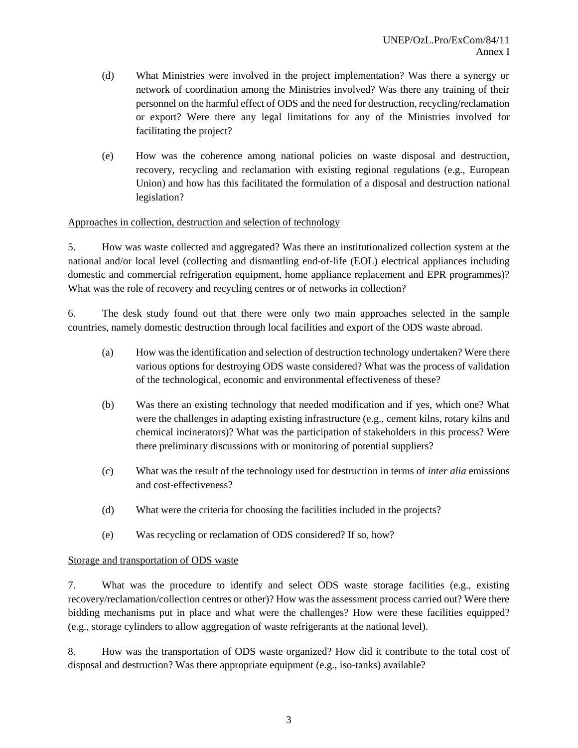- (d) What Ministries were involved in the project implementation? Was there a synergy or network of coordination among the Ministries involved? Was there any training of their personnel on the harmful effect of ODS and the need for destruction, recycling/reclamation or export? Were there any legal limitations for any of the Ministries involved for facilitating the project?
- (e) How was the coherence among national policies on waste disposal and destruction, recovery, recycling and reclamation with existing regional regulations (e.g., European Union) and how has this facilitated the formulation of a disposal and destruction national legislation?

#### Approaches in collection, destruction and selection of technology

5. How was waste collected and aggregated? Was there an institutionalized collection system at the national and/or local level (collecting and dismantling end-of-life (EOL) electrical appliances including domestic and commercial refrigeration equipment, home appliance replacement and EPR programmes)? What was the role of recovery and recycling centres or of networks in collection?

6. The desk study found out that there were only two main approaches selected in the sample countries, namely domestic destruction through local facilities and export of the ODS waste abroad.

- (a) How was the identification and selection of destruction technology undertaken? Were there various options for destroying ODS waste considered? What was the process of validation of the technological, economic and environmental effectiveness of these?
- (b) Was there an existing technology that needed modification and if yes, which one? What were the challenges in adapting existing infrastructure (e.g., cement kilns, rotary kilns and chemical incinerators)? What was the participation of stakeholders in this process? Were there preliminary discussions with or monitoring of potential suppliers?
- (c) What was the result of the technology used for destruction in terms of *inter alia* emissions and cost-effectiveness?
- (d) What were the criteria for choosing the facilities included in the projects?
- (e) Was recycling or reclamation of ODS considered? If so, how?

#### Storage and transportation of ODS waste

7. What was the procedure to identify and select ODS waste storage facilities (e.g., existing recovery/reclamation/collection centres or other)? How was the assessment process carried out? Were there bidding mechanisms put in place and what were the challenges? How were these facilities equipped? (e.g., storage cylinders to allow aggregation of waste refrigerants at the national level).

8. How was the transportation of ODS waste organized? How did it contribute to the total cost of disposal and destruction? Was there appropriate equipment (e.g., iso-tanks) available?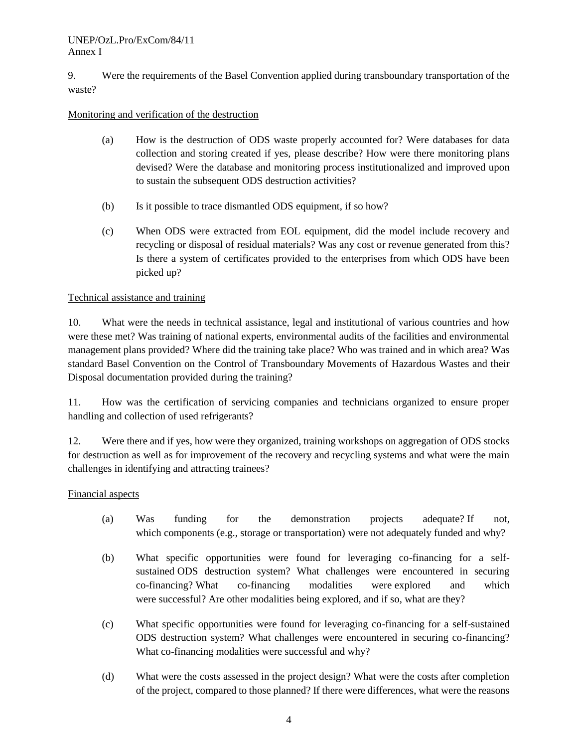### UNEP/OzL.Pro/ExCom/84/11 Annex I

9. Were the requirements of the Basel Convention applied during transboundary transportation of the waste?

# Monitoring and verification of the destruction

- (a) How is the destruction of ODS waste properly accounted for? Were databases for data collection and storing created if yes, please describe? How were there monitoring plans devised? Were the database and monitoring process institutionalized and improved upon to sustain the subsequent ODS destruction activities?
- (b) Is it possible to trace dismantled ODS equipment, if so how?
- (c) When ODS were extracted from EOL equipment, did the model include recovery and recycling or disposal of residual materials? Was any cost or revenue generated from this? Is there a system of certificates provided to the enterprises from which ODS have been picked up?

# Technical assistance and training

10. What were the needs in technical assistance, legal and institutional of various countries and how were these met? Was training of national experts, environmental audits of the facilities and environmental management plans provided? Where did the training take place? Who was trained and in which area? Was standard Basel Convention on the Control of Transboundary Movements of Hazardous Wastes and their Disposal documentation provided during the training?

11. How was the certification of servicing companies and technicians organized to ensure proper handling and collection of used refrigerants?

12. Were there and if yes, how were they organized, training workshops on aggregation of ODS stocks for destruction as well as for improvement of the recovery and recycling systems and what were the main challenges in identifying and attracting trainees?

# Financial aspects

- (a) Was funding for the demonstration projects adequate? If not, which components (e.g., storage or transportation) were not adequately funded and why?
- (b) What specific opportunities were found for leveraging co-financing for a selfsustained ODS destruction system? What challenges were encountered in securing co-financing? What co-financing modalities were explored and which were successful? Are other modalities being explored, and if so, what are they?
- (c) What specific opportunities were found for leveraging co-financing for a self-sustained ODS destruction system? What challenges were encountered in securing co-financing? What co-financing modalities were successful and why?
- (d) What were the costs assessed in the project design? What were the costs after completion of the project, compared to those planned? If there were differences, what were the reasons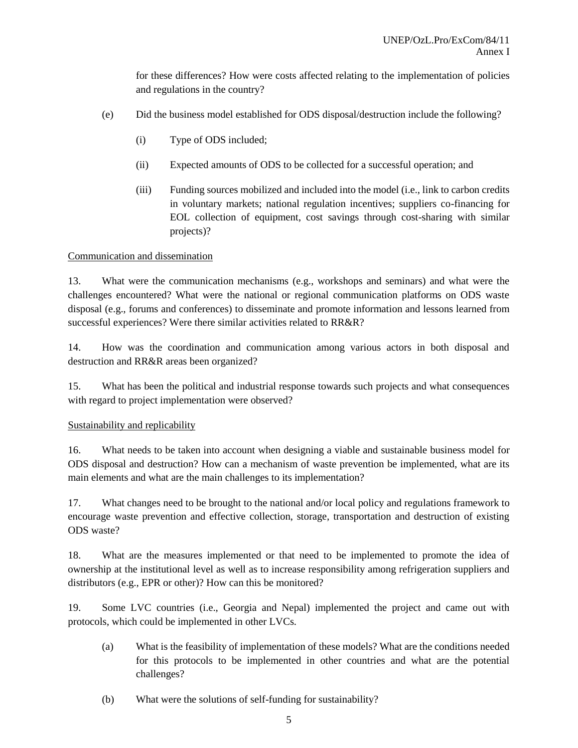for these differences? How were costs affected relating to the implementation of policies and regulations in the country?

- (e) Did the business model established for ODS disposal/destruction include the following?
	- (i) Type of ODS included;
	- (ii) Expected amounts of ODS to be collected for a successful operation; and
	- (iii) Funding sources mobilized and included into the model (i.e., link to carbon credits in voluntary markets; national regulation incentives; suppliers co-financing for EOL collection of equipment, cost savings through cost-sharing with similar projects)?

#### Communication and dissemination

13. What were the communication mechanisms (e.g., workshops and seminars) and what were the challenges encountered? What were the national or regional communication platforms on ODS waste disposal (e.g., forums and conferences) to disseminate and promote information and lessons learned from successful experiences? Were there similar activities related to RR&R?

14. How was the coordination and communication among various actors in both disposal and destruction and RR&R areas been organized?

15. What has been the political and industrial response towards such projects and what consequences with regard to project implementation were observed?

#### Sustainability and replicability

16. What needs to be taken into account when designing a viable and sustainable business model for ODS disposal and destruction? How can a mechanism of waste prevention be implemented, what are its main elements and what are the main challenges to its implementation?

17. What changes need to be brought to the national and/or local policy and regulations framework to encourage waste prevention and effective collection, storage, transportation and destruction of existing ODS waste?

18. What are the measures implemented or that need to be implemented to promote the idea of ownership at the institutional level as well as to increase responsibility among refrigeration suppliers and distributors (e.g., EPR or other)? How can this be monitored?

19. Some LVC countries (i.e., Georgia and Nepal) implemented the project and came out with protocols, which could be implemented in other LVCs.

- (a) What is the feasibility of implementation of these models? What are the conditions needed for this protocols to be implemented in other countries and what are the potential challenges?
- (b) What were the solutions of self-funding for sustainability?